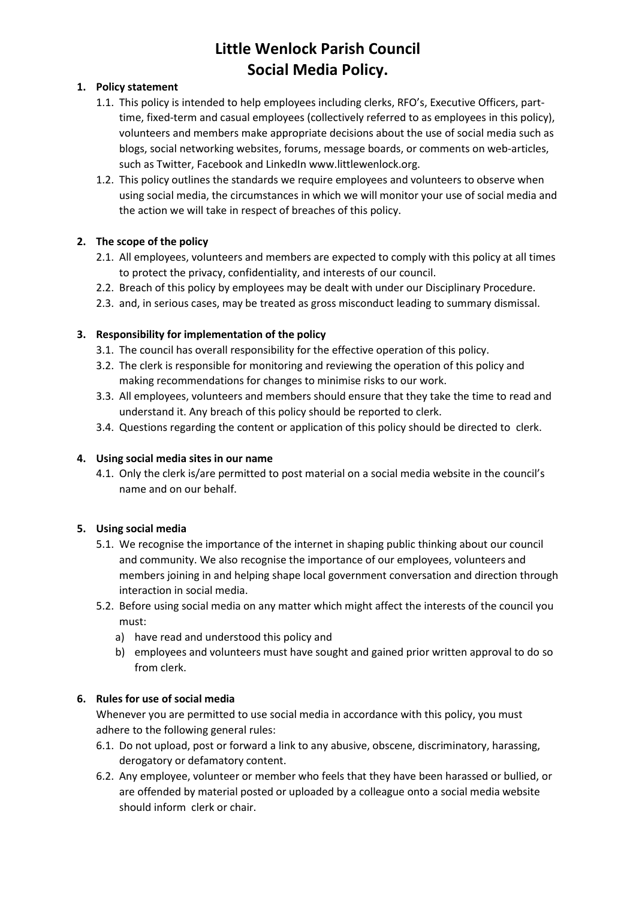## **Little Wenlock Parish Council Social Media Policy.**

#### **1. Policy statement**

- 1.1. This policy is intended to help employees including clerks, RFO's, Executive Officers, parttime, fixed-term and casual employees (collectively referred to as employees in this policy), volunteers and members make appropriate decisions about the use of social media such as blogs, social networking websites, forums, message boards, or comments on web-articles, such as Twitter, Facebook and LinkedIn www.littlewenlock.org.
- 1.2. This policy outlines the standards we require employees and volunteers to observe when using social media, the circumstances in which we will monitor your use of social media and the action we will take in respect of breaches of this policy.

## **2. The scope of the policy**

- 2.1. All employees, volunteers and members are expected to comply with this policy at all times to protect the privacy, confidentiality, and interests of our council.
- 2.2. Breach of this policy by employees may be dealt with under our Disciplinary Procedure.
- 2.3. and, in serious cases, may be treated as gross misconduct leading to summary dismissal.

### **3. Responsibility for implementation of the policy**

- 3.1. The council has overall responsibility for the effective operation of this policy.
- 3.2. The clerk is responsible for monitoring and reviewing the operation of this policy and making recommendations for changes to minimise risks to our work.
- 3.3. All employees, volunteers and members should ensure that they take the time to read and understand it. Any breach of this policy should be reported to clerk.
- 3.4. Questions regarding the content or application of this policy should be directed to clerk.

#### **4. Using social media sites in our name**

4.1. Only the clerk is/are permitted to post material on a social media website in the council's name and on our behalf.

#### **5. Using social media**

- 5.1. We recognise the importance of the internet in shaping public thinking about our council and community. We also recognise the importance of our employees, volunteers and members joining in and helping shape local government conversation and direction through interaction in social media.
- 5.2. Before using social media on any matter which might affect the interests of the council you must:
	- a) have read and understood this policy and
	- b) employees and volunteers must have sought and gained prior written approval to do so from clerk.

#### **6. Rules for use of social media**

Whenever you are permitted to use social media in accordance with this policy, you must adhere to the following general rules:

- 6.1. Do not upload, post or forward a link to any abusive, obscene, discriminatory, harassing, derogatory or defamatory content.
- 6.2. Any employee, volunteer or member who feels that they have been harassed or bullied, or are offended by material posted or uploaded by a colleague onto a social media website should inform clerk or chair.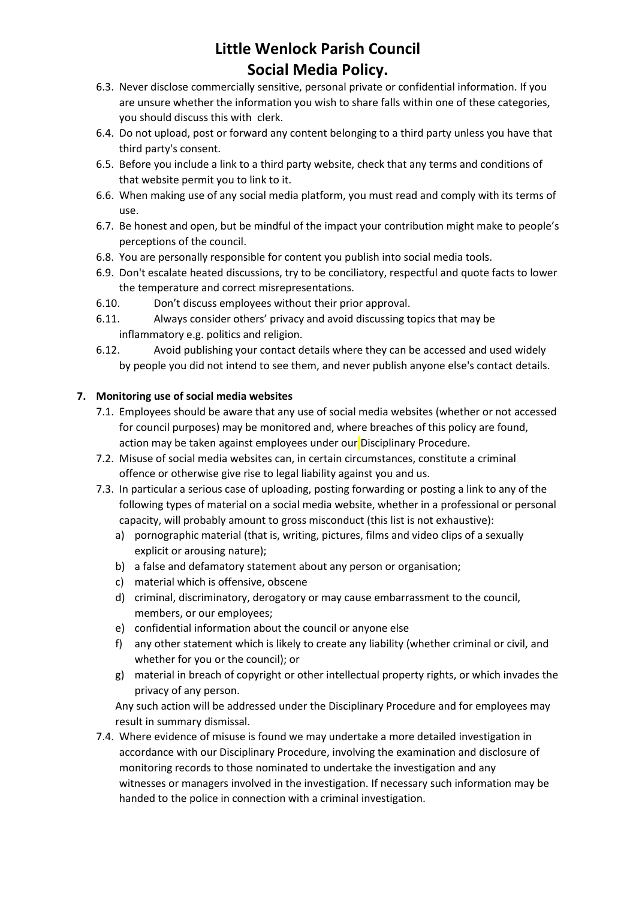## **Little Wenlock Parish Council Social Media Policy.**

- 6.3. Never disclose commercially sensitive, personal private or confidential information. If you are unsure whether the information you wish to share falls within one of these categories, you should discuss this with clerk.
- 6.4. Do not upload, post or forward any content belonging to a third party unless you have that third party's consent.
- 6.5. Before you include a link to a third party website, check that any terms and conditions of that website permit you to link to it.
- 6.6. When making use of any social media platform, you must read and comply with its terms of use.
- 6.7. Be honest and open, but be mindful of the impact your contribution might make to people's perceptions of the council.
- 6.8. You are personally responsible for content you publish into social media tools.
- 6.9. Don't escalate heated discussions, try to be conciliatory, respectful and quote facts to lower the temperature and correct misrepresentations.
- 6.10. Don't discuss employees without their prior approval.
- 6.11. Always consider others' privacy and avoid discussing topics that may be inflammatory e.g. politics and religion.
- 6.12. Avoid publishing your contact details where they can be accessed and used widely by people you did not intend to see them, and never publish anyone else's contact details.

### **7. Monitoring use of social media websites**

- 7.1. Employees should be aware that any use of social media websites (whether or not accessed for council purposes) may be monitored and, where breaches of this policy are found, action may be taken against employees under our Disciplinary Procedure.
- 7.2. Misuse of social media websites can, in certain circumstances, constitute a criminal offence or otherwise give rise to legal liability against you and us.
- 7.3. In particular a serious case of uploading, posting forwarding or posting a link to any of the following types of material on a social media website, whether in a professional or personal capacity, will probably amount to gross misconduct (this list is not exhaustive):
	- a) pornographic material (that is, writing, pictures, films and video clips of a sexually explicit or arousing nature);
	- b) a false and defamatory statement about any person or organisation;
	- c) material which is offensive, obscene
	- d) criminal, discriminatory, derogatory or may cause embarrassment to the council, members, or our employees;
	- e) confidential information about the council or anyone else
	- f) any other statement which is likely to create any liability (whether criminal or civil, and whether for you or the council); or
	- g) material in breach of copyright or other intellectual property rights, or which invades the privacy of any person.

Any such action will be addressed under the Disciplinary Procedure and for employees may result in summary dismissal.

7.4. Where evidence of misuse is found we may undertake a more detailed investigation in accordance with our Disciplinary Procedure, involving the examination and disclosure of monitoring records to those nominated to undertake the investigation and any witnesses or managers involved in the investigation. If necessary such information may be handed to the police in connection with a criminal investigation.